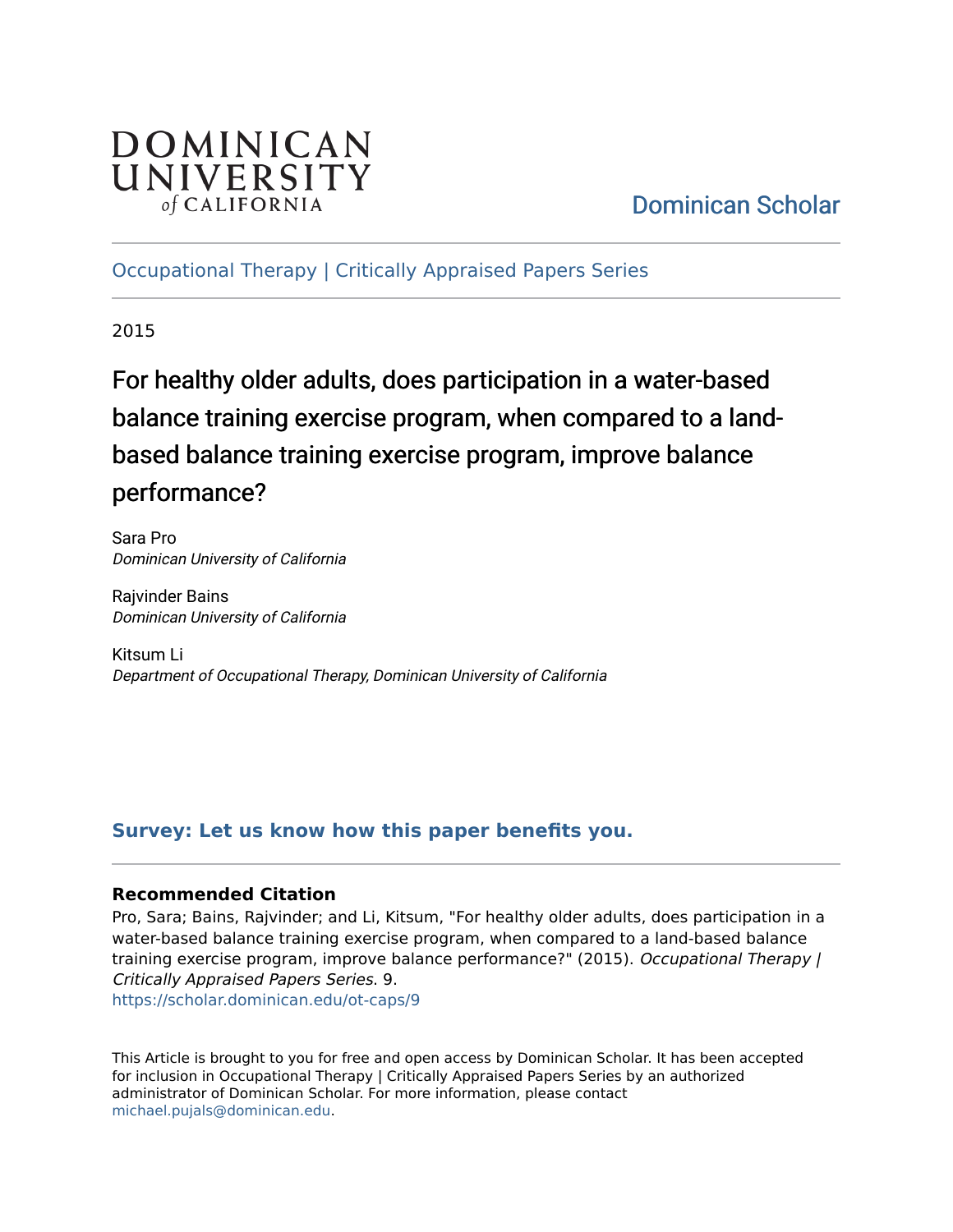# DOMINICAN UNIVERSITY of CALIFORNIA

# [Dominican Scholar](https://scholar.dominican.edu/)

[Occupational Therapy | Critically Appraised Papers Series](https://scholar.dominican.edu/ot-caps) 

2015

For healthy older adults, does participation in a water-based balance training exercise program, when compared to a landbased balance training exercise program, improve balance performance?

Sara Pro Dominican University of California

Rajvinder Bains Dominican University of California

Kitsum Li Department of Occupational Therapy, Dominican University of California

# **[Survey: Let us know how this paper benefits you.](https://dominican.libwizard.com/dominican-scholar-feedback)**

## **Recommended Citation**

Pro, Sara; Bains, Rajvinder; and Li, Kitsum, "For healthy older adults, does participation in a water-based balance training exercise program, when compared to a land-based balance training exercise program, improve balance performance?" (2015). Occupational Therapy / Critically Appraised Papers Series. 9. [https://scholar.dominican.edu/ot-caps/9](https://scholar.dominican.edu/ot-caps/9?utm_source=scholar.dominican.edu%2Fot-caps%2F9&utm_medium=PDF&utm_campaign=PDFCoverPages)

This Article is brought to you for free and open access by Dominican Scholar. It has been accepted for inclusion in Occupational Therapy | Critically Appraised Papers Series by an authorized administrator of Dominican Scholar. For more information, please contact [michael.pujals@dominican.edu.](mailto:michael.pujals@dominican.edu)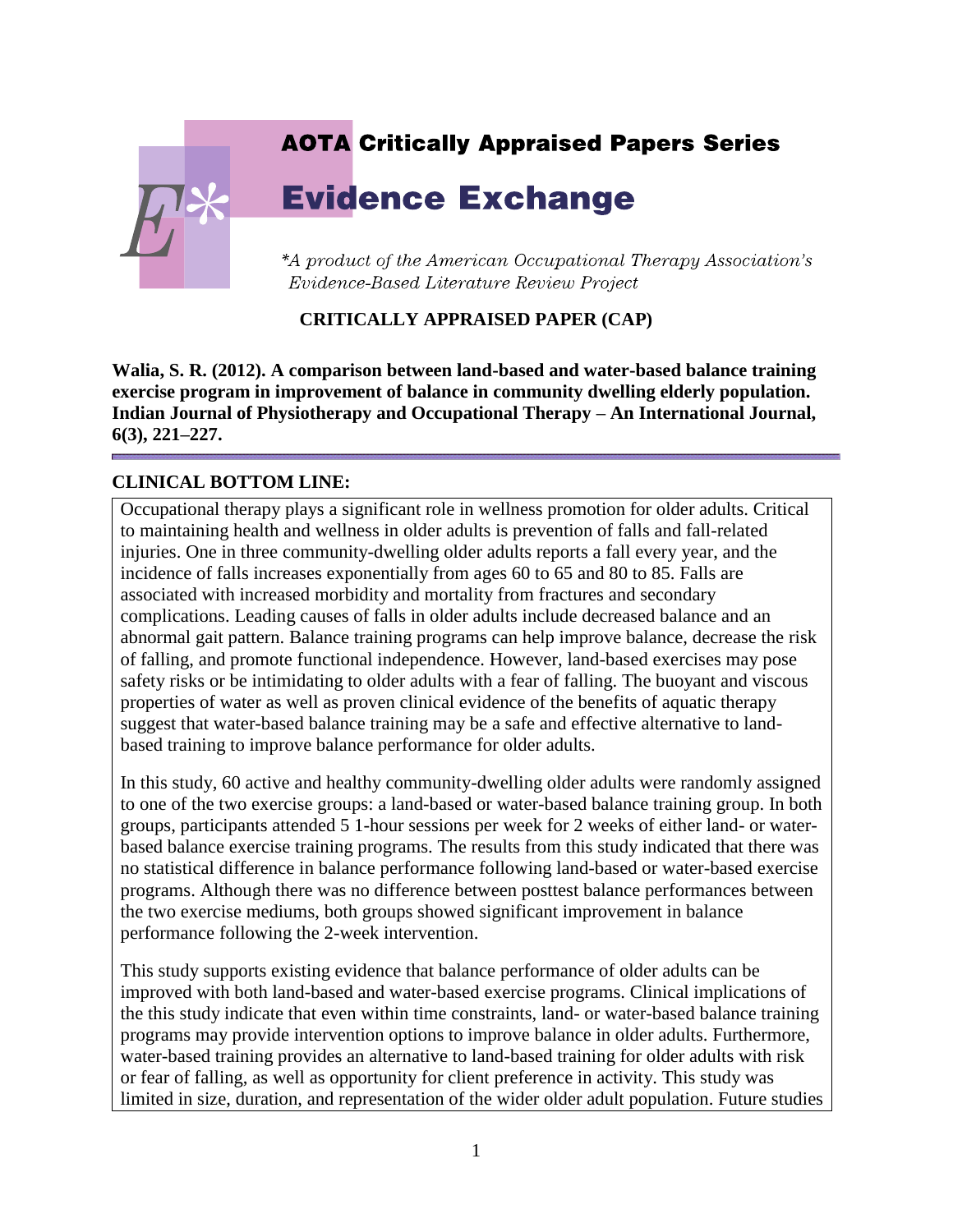# **AOTA Critically Appraised Papers Series**

# **Evidence Exchange**

\*A product of the American Occupational Therapy Association's Evidence-Based Literature Review Project

# **CRITICALLY APPRAISED PAPER (CAP)**

**Walia, S. R. (2012). A comparison between land-based and water-based balance training exercise program in improvement of balance in community dwelling elderly population. Indian Journal of Physiotherapy and Occupational Therapy – An International Journal, 6(3), 221–227.**

# **CLINICAL BOTTOM LINE:**

Occupational therapy plays a significant role in wellness promotion for older adults. Critical to maintaining health and wellness in older adults is prevention of falls and fall-related injuries. One in three community-dwelling older adults reports a fall every year, and the incidence of falls increases exponentially from ages 60 to 65 and 80 to 85. Falls are associated with increased morbidity and mortality from fractures and secondary complications. Leading causes of falls in older adults include decreased balance and an abnormal gait pattern. Balance training programs can help improve balance, decrease the risk of falling, and promote functional independence. However, land-based exercises may pose safety risks or be intimidating to older adults with a fear of falling. The buoyant and viscous properties of water as well as proven clinical evidence of the benefits of aquatic therapy suggest that water-based balance training may be a safe and effective alternative to landbased training to improve balance performance for older adults.

In this study, 60 active and healthy community-dwelling older adults were randomly assigned to one of the two exercise groups: a land-based or water-based balance training group. In both groups, participants attended 5 1-hour sessions per week for 2 weeks of either land- or waterbased balance exercise training programs. The results from this study indicated that there was no statistical difference in balance performance following land-based or water-based exercise programs. Although there was no difference between posttest balance performances between the two exercise mediums, both groups showed significant improvement in balance performance following the 2-week intervention.

This study supports existing evidence that balance performance of older adults can be improved with both land-based and water-based exercise programs. Clinical implications of the this study indicate that even within time constraints, land- or water-based balance training programs may provide intervention options to improve balance in older adults. Furthermore, water-based training provides an alternative to land-based training for older adults with risk or fear of falling, as well as opportunity for client preference in activity. This study was limited in size, duration, and representation of the wider older adult population. Future studies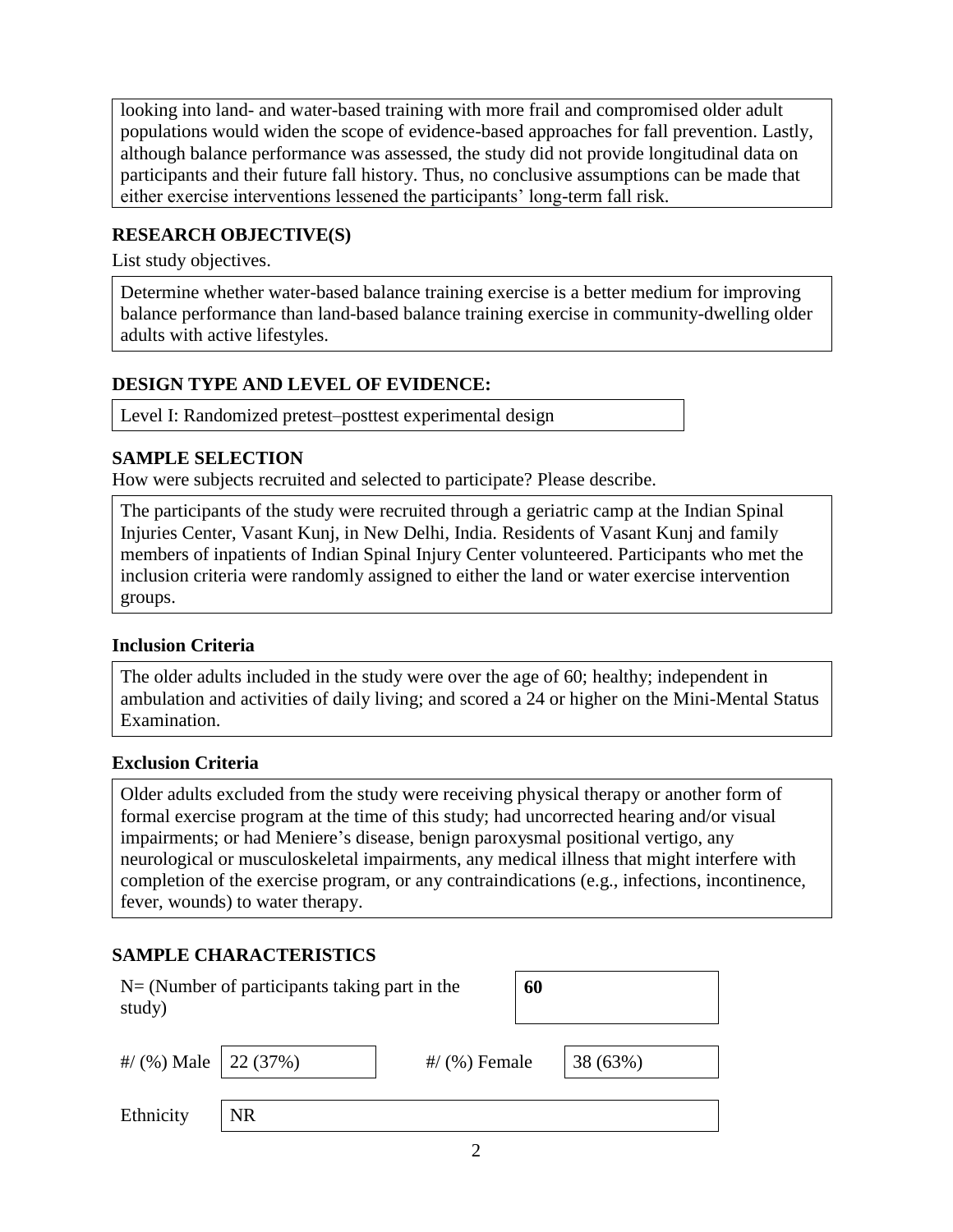looking into land- and water-based training with more frail and compromised older adult populations would widen the scope of evidence-based approaches for fall prevention. Lastly, although balance performance was assessed, the study did not provide longitudinal data on participants and their future fall history. Thus, no conclusive assumptions can be made that either exercise interventions lessened the participants' long-term fall risk.

#### **RESEARCH OBJECTIVE(S)**

List study objectives.

Determine whether water-based balance training exercise is a better medium for improving balance performance than land-based balance training exercise in community-dwelling older adults with active lifestyles.

## **DESIGN TYPE AND LEVEL OF EVIDENCE:**

Level I: Randomized pretest–posttest experimental design

#### **SAMPLE SELECTION**

How were subjects recruited and selected to participate? Please describe.

The participants of the study were recruited through a geriatric camp at the Indian Spinal Injuries Center, Vasant Kunj, in New Delhi, India. Residents of Vasant Kunj and family members of inpatients of Indian Spinal Injury Center volunteered. Participants who met the inclusion criteria were randomly assigned to either the land or water exercise intervention groups.

#### **Inclusion Criteria**

The older adults included in the study were over the age of 60; healthy; independent in ambulation and activities of daily living; and scored a 24 or higher on the Mini-Mental Status Examination.

#### **Exclusion Criteria**

Older adults excluded from the study were receiving physical therapy or another form of formal exercise program at the time of this study; had uncorrected hearing and/or visual impairments; or had Meniere's disease, benign paroxysmal positional vertigo, any neurological or musculoskeletal impairments, any medical illness that might interfere with completion of the exercise program, or any contraindications (e.g., infections, incontinence, fever, wounds) to water therapy.

#### **SAMPLE CHARACTERISTICS**

| $N = (Number of participants taking part in the)$<br>study) |    | 60              |  |          |
|-------------------------------------------------------------|----|-----------------|--|----------|
| #/ $(%)$ Male   22 (37%)                                    |    | $\#$ (%) Female |  | 38 (63%) |
| Ethnicity                                                   | NR |                 |  |          |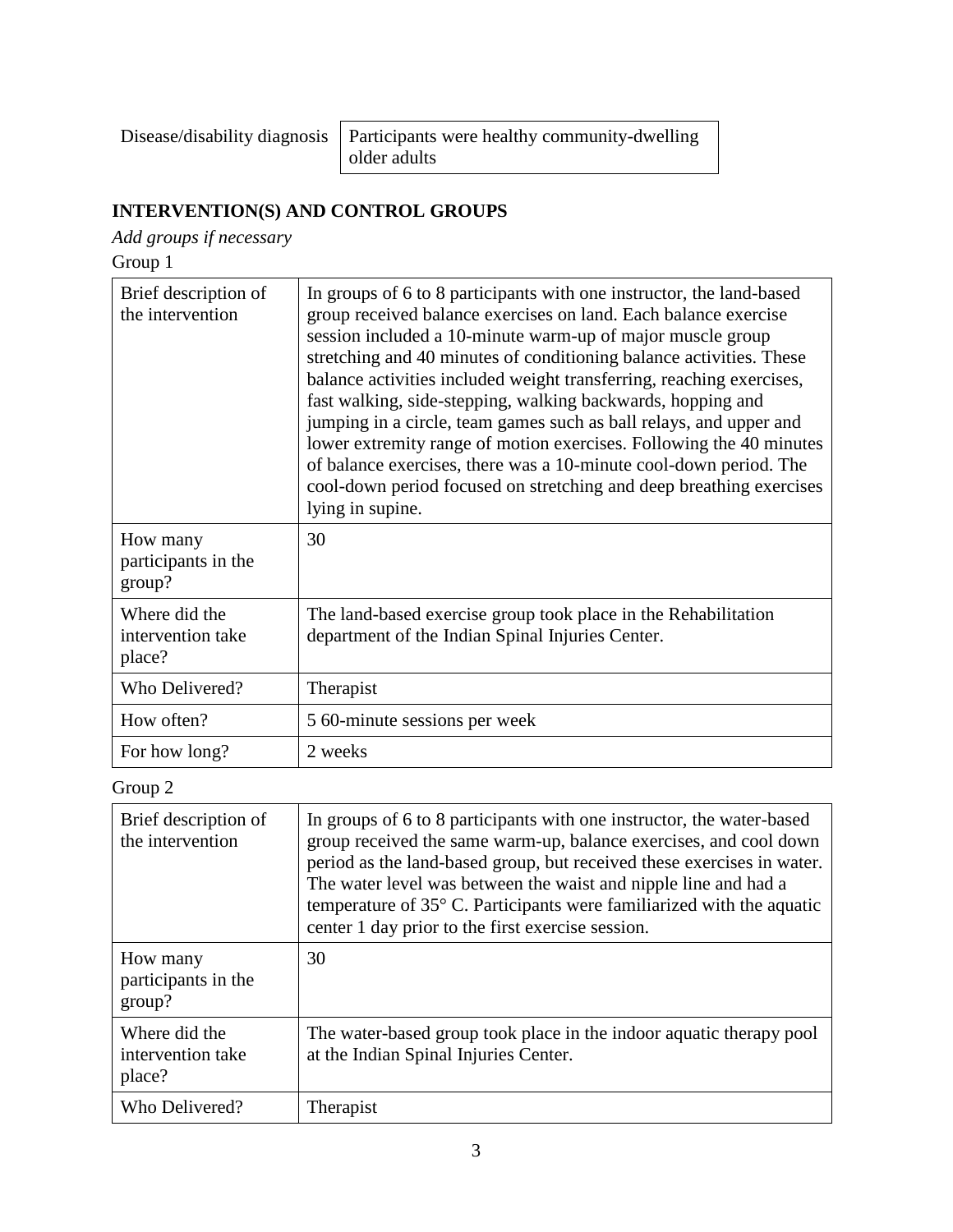Disease/disability diagnosis | Participants were healthy community-dwelling older adults

# **INTERVENTION(S) AND CONTROL GROUPS**

*Add groups if necessary*

Group 1

| Brief description of<br>the intervention     | In groups of 6 to 8 participants with one instructor, the land-based<br>group received balance exercises on land. Each balance exercise<br>session included a 10-minute warm-up of major muscle group<br>stretching and 40 minutes of conditioning balance activities. These<br>balance activities included weight transferring, reaching exercises,<br>fast walking, side-stepping, walking backwards, hopping and<br>jumping in a circle, team games such as ball relays, and upper and<br>lower extremity range of motion exercises. Following the 40 minutes<br>of balance exercises, there was a 10-minute cool-down period. The<br>cool-down period focused on stretching and deep breathing exercises<br>lying in supine. |
|----------------------------------------------|----------------------------------------------------------------------------------------------------------------------------------------------------------------------------------------------------------------------------------------------------------------------------------------------------------------------------------------------------------------------------------------------------------------------------------------------------------------------------------------------------------------------------------------------------------------------------------------------------------------------------------------------------------------------------------------------------------------------------------|
| How many<br>participants in the<br>group?    | 30                                                                                                                                                                                                                                                                                                                                                                                                                                                                                                                                                                                                                                                                                                                               |
| Where did the<br>intervention take<br>place? | The land-based exercise group took place in the Rehabilitation<br>department of the Indian Spinal Injuries Center.                                                                                                                                                                                                                                                                                                                                                                                                                                                                                                                                                                                                               |
| Who Delivered?                               | Therapist                                                                                                                                                                                                                                                                                                                                                                                                                                                                                                                                                                                                                                                                                                                        |
| How often?                                   | 5 60-minute sessions per week                                                                                                                                                                                                                                                                                                                                                                                                                                                                                                                                                                                                                                                                                                    |
| For how long?                                | 2 weeks                                                                                                                                                                                                                                                                                                                                                                                                                                                                                                                                                                                                                                                                                                                          |

# Group 2

| Brief description of<br>the intervention     | In groups of 6 to 8 participants with one instructor, the water-based<br>group received the same warm-up, balance exercises, and cool down<br>period as the land-based group, but received these exercises in water.<br>The water level was between the waist and nipple line and had a<br>temperature of $35^{\circ}$ C. Participants were familiarized with the aquatic<br>center 1 day prior to the first exercise session. |
|----------------------------------------------|--------------------------------------------------------------------------------------------------------------------------------------------------------------------------------------------------------------------------------------------------------------------------------------------------------------------------------------------------------------------------------------------------------------------------------|
| How many<br>participants in the<br>group?    | 30                                                                                                                                                                                                                                                                                                                                                                                                                             |
| Where did the<br>intervention take<br>place? | The water-based group took place in the indoor aquatic therapy pool<br>at the Indian Spinal Injuries Center.                                                                                                                                                                                                                                                                                                                   |
| Who Delivered?                               | Therapist                                                                                                                                                                                                                                                                                                                                                                                                                      |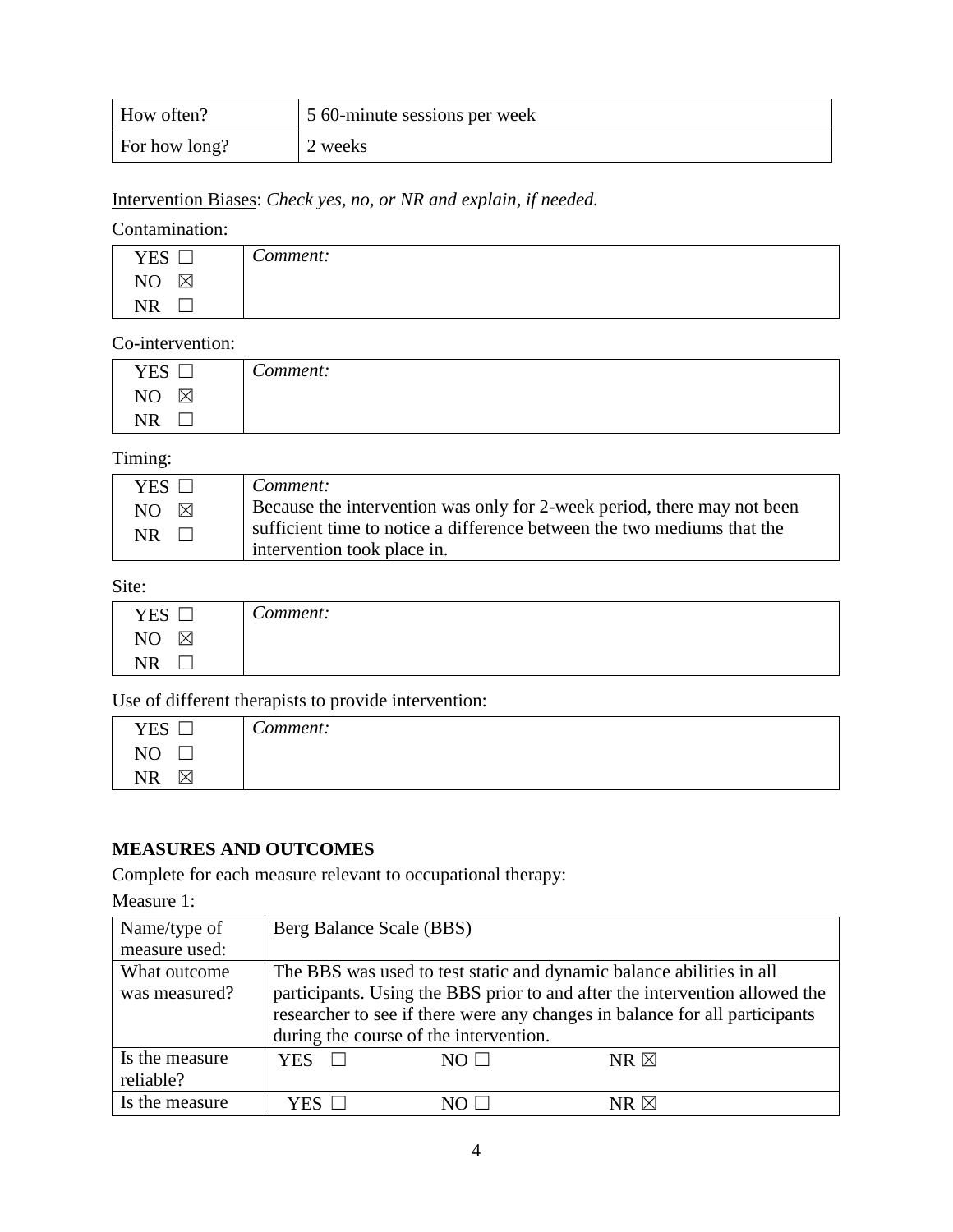| How often?    | 5 60-minute sessions per week |
|---------------|-------------------------------|
| For how long? | 2 weeks                       |

# Intervention Biases: *Check yes, no, or NR and explain, if needed.*

# Contamination:

| YES                                | $\sqrt{}$<br>Comment: |
|------------------------------------|-----------------------|
| $\sim$<br>$\boxtimes$<br><b>NU</b> |                       |
| $\mathbf{m}$<br>'k<br>TATE.        |                       |

#### Co-intervention:

| <b>YES</b>        | $\sqrt{ }$<br>Comment: |
|-------------------|------------------------|
| NO<br>$\boxtimes$ |                        |
| <b>NR</b>         |                        |

# Timing:

| YES $\Box$                  | Comment:                                                                                                                                           |
|-----------------------------|----------------------------------------------------------------------------------------------------------------------------------------------------|
| NO $\boxtimes$<br><b>NR</b> | Because the intervention was only for 2-week period, there may not been<br>sufficient time to notice a difference between the two mediums that the |
|                             | intervention took place in.                                                                                                                        |

#### Site:

| YES                 | $\sim$<br>Comment: |
|---------------------|--------------------|
| N <sub>O</sub><br>⊠ |                    |
| <b>NR</b>           |                    |

Use of different therapists to provide intervention:

| <b>YES</b>     | $\sqrt{ }$<br>Comment: |
|----------------|------------------------|
| N <sub>O</sub> |                        |
| <b>NR</b><br>⋉ |                        |

#### **MEASURES AND OUTCOMES**

Complete for each measure relevant to occupational therapy:

Measure 1:

| Name/type of   | Berg Balance Scale (BBS)                                                    |                                                                      |                |  |  |
|----------------|-----------------------------------------------------------------------------|----------------------------------------------------------------------|----------------|--|--|
| measure used:  |                                                                             |                                                                      |                |  |  |
| What outcome   |                                                                             | The BBS was used to test static and dynamic balance abilities in all |                |  |  |
| was measured?  | participants. Using the BBS prior to and after the intervention allowed the |                                                                      |                |  |  |
|                | researcher to see if there were any changes in balance for all participants |                                                                      |                |  |  |
|                | during the course of the intervention.                                      |                                                                      |                |  |  |
| Is the measure | <b>YES</b>                                                                  | $NO \perp$                                                           | $NR \boxtimes$ |  |  |
| reliable?      |                                                                             |                                                                      |                |  |  |
| Is the measure | YES                                                                         |                                                                      | NR $\boxtimes$ |  |  |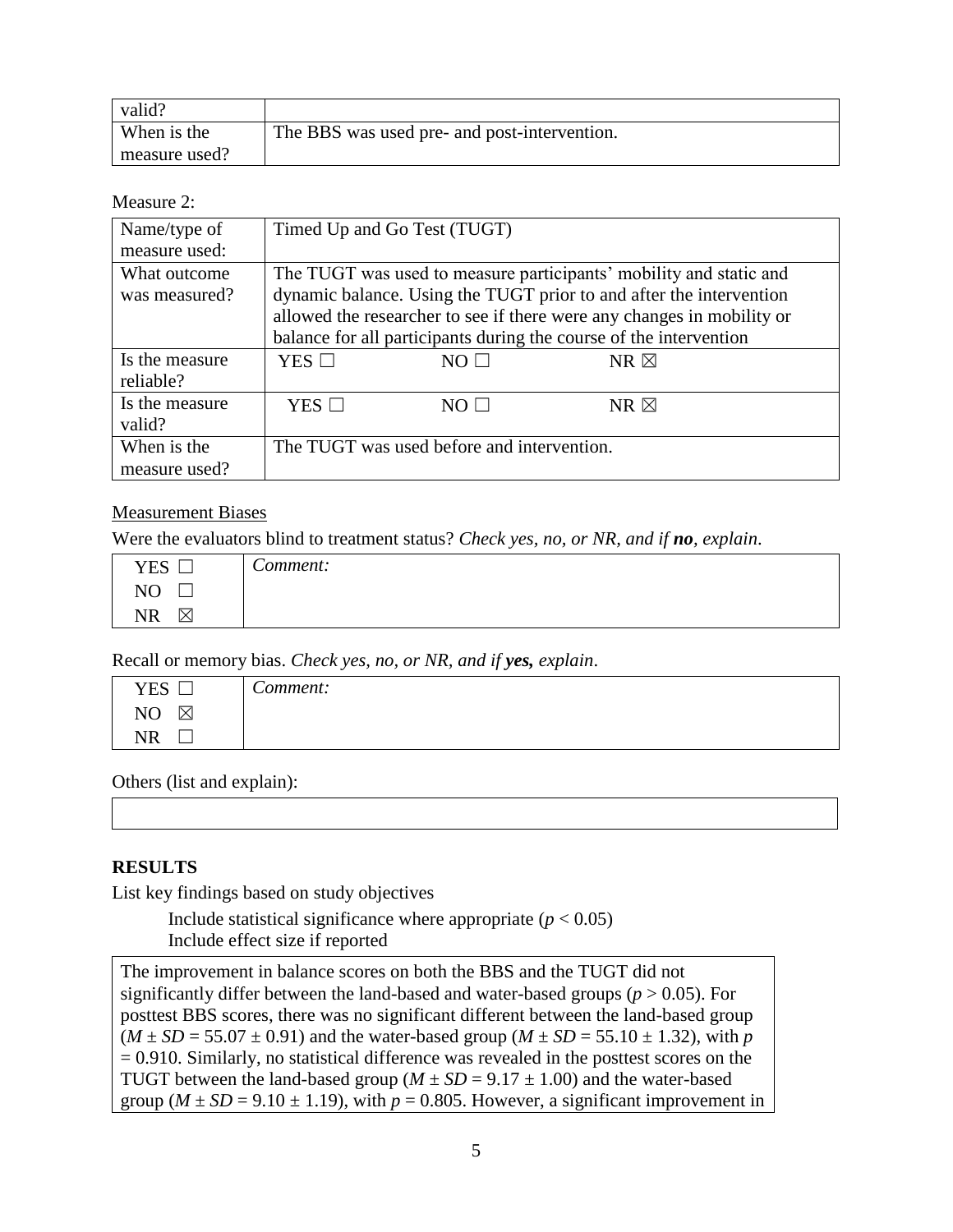| valid?        |                                              |
|---------------|----------------------------------------------|
| When is the   | The BBS was used pre- and post-intervention. |
| measure used? |                                              |

Measure 2:

| Name/type of   |                                                                        | Timed Up and Go Test (TUGT)                |                                                                    |  |
|----------------|------------------------------------------------------------------------|--------------------------------------------|--------------------------------------------------------------------|--|
| measure used:  |                                                                        |                                            |                                                                    |  |
| What outcome   |                                                                        |                                            | The TUGT was used to measure participants' mobility and static and |  |
| was measured?  | dynamic balance. Using the TUGT prior to and after the intervention    |                                            |                                                                    |  |
|                | allowed the researcher to see if there were any changes in mobility or |                                            |                                                                    |  |
|                | balance for all participants during the course of the intervention     |                                            |                                                                    |  |
| Is the measure | $YES$ $\Box$                                                           | $NO \Box$                                  | $NR \boxtimes$                                                     |  |
| reliable?      |                                                                        |                                            |                                                                    |  |
| Is the measure | YES $\square$                                                          | $NO \Box$                                  | $NR \boxtimes$                                                     |  |
| valid?         |                                                                        |                                            |                                                                    |  |
| When is the    |                                                                        | The TUGT was used before and intervention. |                                                                    |  |
| measure used?  |                                                                        |                                            |                                                                    |  |

#### Measurement Biases

Were the evaluators blind to treatment status? *Check yes, no, or NR, and if no, explain*.

| <b>YES</b>        | $\sim$<br>'omment: |
|-------------------|--------------------|
| NO                |                    |
| ΝR<br>$\boxtimes$ |                    |

Recall or memory bias. *Check yes, no, or NR, and if yes, explain*.

| <b>YES</b>                  | ⌒<br>`omment: |
|-----------------------------|---------------|
| $\boxtimes$<br>◝            |               |
| े $^{\dagger}$ R<br>$\cdot$ |               |

Others (list and explain):

#### **RESULTS**

List key findings based on study objectives

Include statistical significance where appropriate  $(p < 0.05)$ Include effect size if reported

The improvement in balance scores on both the BBS and the TUGT did not significantly differ between the land-based and water-based groups ( $p > 0.05$ ). For posttest BBS scores, there was no significant different between the land-based group  $(M \pm SD = 55.07 \pm 0.91)$  and the water-based group  $(M \pm SD = 55.10 \pm 1.32)$ , with *p*  $= 0.910$ . Similarly, no statistical difference was revealed in the posttest scores on the TUGT between the land-based group ( $M \pm SD = 9.17 \pm 1.00$ ) and the water-based group ( $M \pm SD = 9.10 \pm 1.19$ ), with  $p = 0.805$ . However, a significant improvement in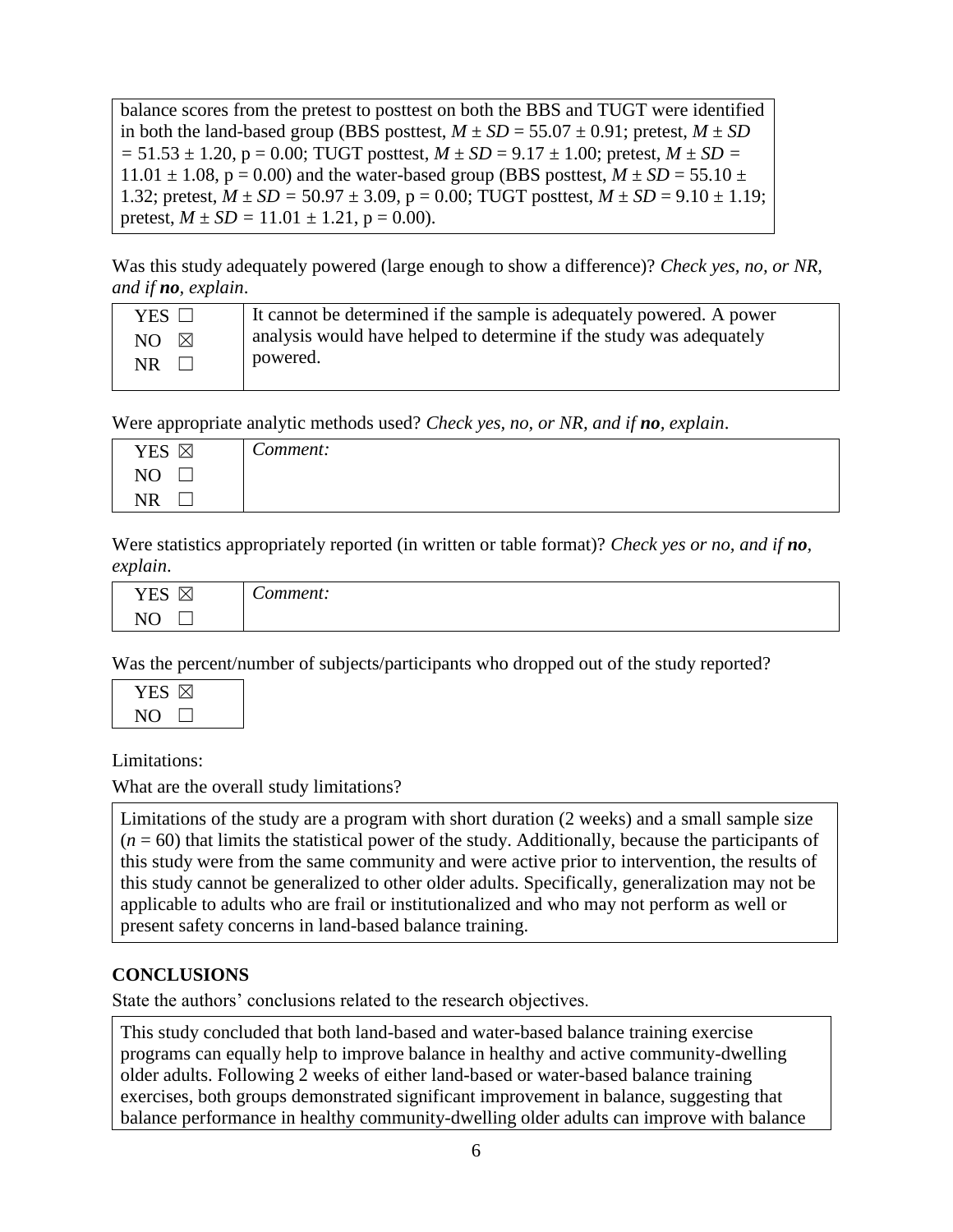balance scores from the pretest to posttest on both the BBS and TUGT were identified in both the land-based group (BBS posttest,  $M \pm SD = 55.07 \pm 0.91$ ; pretest,  $M \pm SD$  $= 51.53 \pm 1.20$ ,  $p = 0.00$ ; TUGT posttest,  $M \pm SD = 9.17 \pm 1.00$ ; pretest,  $M \pm SD = 1.00$  $11.01 \pm 1.08$ , p = 0.00) and the water-based group (BBS posttest,  $M \pm SD = 55.10 \pm 1.08$ , p = 0.00) 1.32; pretest,  $M \pm SD = 50.97 \pm 3.09$ ,  $p = 0.00$ ; TUGT posttest,  $M \pm SD = 9.10 \pm 1.19$ ; pretest,  $M \pm SD = 11.01 \pm 1.21$ ,  $p = 0.00$ ).

Was this study adequately powered (large enough to show a difference)? *Check yes, no, or NR, and if no, explain*.

| YES $\Box$           | It cannot be determined if the sample is adequately powered. A power |
|----------------------|----------------------------------------------------------------------|
| $NO \quad \boxtimes$ | analysis would have helped to determine if the study was adequately  |
| $NR \Box$            | powered.                                                             |

Were appropriate analytic methods used? *Check yes, no, or NR, and if no, explain*.

| <b>YES</b><br>$\boxtimes$ | $\sim$<br>comment: C |
|---------------------------|----------------------|
| N <sub>O</sub>            |                      |
| NR.                       |                      |

Were statistics appropriately reported (in written or table format)? *Check yes or no, and if no, explain*.

| YES          |                          |
|--------------|--------------------------|
| $\checkmark$ | $\overline{\phantom{0}}$ |
| '∧⊦          | 0.1221220211             |
|              | uenu.                    |
| $\tau$       |                          |

Was the percent/number of subjects/participants who dropped out of the study reported?

| YES D |  |
|-------|--|
| N()   |  |

Limitations:

What are the overall study limitations?

Limitations of the study are a program with short duration (2 weeks) and a small sample size  $(n = 60)$  that limits the statistical power of the study. Additionally, because the participants of this study were from the same community and were active prior to intervention, the results of this study cannot be generalized to other older adults. Specifically, generalization may not be applicable to adults who are frail or institutionalized and who may not perform as well or present safety concerns in land-based balance training.

## **CONCLUSIONS**

State the authors' conclusions related to the research objectives.

This study concluded that both land-based and water-based balance training exercise programs can equally help to improve balance in healthy and active community-dwelling older adults. Following 2 weeks of either land-based or water-based balance training exercises, both groups demonstrated significant improvement in balance, suggesting that balance performance in healthy community-dwelling older adults can improve with balance